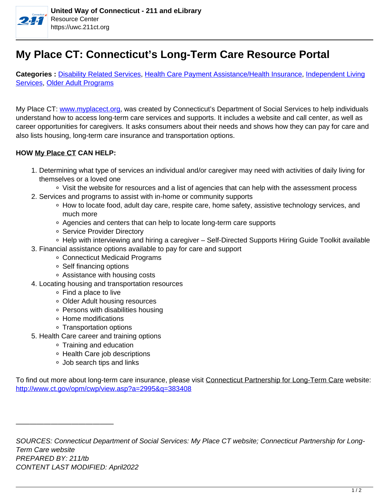

## **My Place CT: Connecticut's Long-Term Care Resource Portal**

**Categories :** [Disability Related Services,](https://uwc.211ct.org/category/disability-related-services/) Health Care Payment Assistance/Health Insurance, Independent Living Services, Older Adult Programs

My Place CT: www.myplacect.org, was created by Connecticut's Department of Social Services to help individuals understand how to access long-term care services and supports. It includes a website and call center, as well as career opportunities for caregivers. It asks consumers about their needs and shows how they can pay for care and also lists housing, long-term care insurance and transportation options.

## **HOW My Place CT CAN HELP:**

- 1. Determining what type of services an individual and/or caregiver may need with activities of daily living for themselves or a loved one
	- Visit the website for resources and a list of agencies that can help with the assessment process
- 2. Services and programs to assist with in-home or community supports
	- ∘ How to locate food, adult day care, respite care, home safety, assistive technology services, and much more
	- Agencies and centers that can help to locate long-term care supports
	- **Service Provider Directory**
	- Help with interviewing and hiring a caregiver Self-Directed Supports Hiring Guide Toolkit available
- 3. Financial assistance options available to pay for care and support
	- Connecticut Medicaid Programs
	- Self financing options
	- Assistance with housing costs
- 4. Locating housing and transportation resources
	- Find a place to live
	- Older Adult housing resources
	- Persons with disabilities housing
	- Home modifications
	- Transportation options
- 5. Health Care career and training options
	- Training and education
	- Health Care job descriptions
	- Job search tips and links

——————————————

To find out more about long-term care insurance, please visit Connecticut Partnership for Long-Term Care website: http://www.ct.gov/opm/cwp/view.asp?a=2995&q=383408

SOURCES: Connecticut Department of Social Services: My Place CT website; Connecticut Partnership for Long-Term Care website PREPARED BY: 211/tb CONTENT LAST MODIFIED: April2022